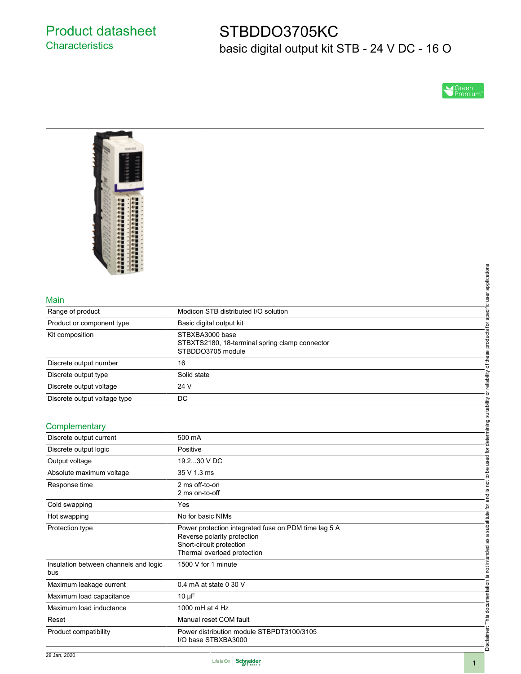## Product datasheet **Characteristics**

# STBDDO3705KC basic digital output kit STB - 24 V DC - 16 O

SGreen<br>Premium



#### Main

|                              |                                                | applications        |
|------------------------------|------------------------------------------------|---------------------|
| Main                         |                                                | user                |
|                              |                                                |                     |
| Range of product             | Modicon STB distributed I/O solution           | specific            |
| Product or component type    | Basic digital output kit                       |                     |
| Kit composition              | STBXBA3000 base                                | products for        |
|                              | STBXTS2180, 18-terminal spring clamp connector |                     |
|                              | STBDDO3705 module                              |                     |
| Discrete output number       | 16                                             | of th               |
| Discrete output type         | Solid state                                    | reliability         |
| Discrete output voltage      | 24 V                                           |                     |
| Discrete output voltage type | <b>DC</b>                                      |                     |
|                              |                                                | suitability         |
| Complementary                |                                                | ō                   |
|                              |                                                |                     |
| Discrete output current      | 500 mA                                         |                     |
| Discrete output logic        | Positive                                       | 호                   |
| Output voltage               | 19.230 V DC                                    |                     |
| Absolute maximum voltage     | 35 V 1.3 ms                                    | 츠<br>$\overline{5}$ |
| Response time                | 2 ms off-to-on                                 | not <sup>'</sup>    |
|                              | 2 ms on-to-off                                 | <u>.ഗ</u><br>and    |
| $\sim$ $\sim$ $\sim$         | $\lambda$                                      |                     |

#### **Complementary**

| Main                                         |                                                                                                                                                | specific user applications              |  |  |
|----------------------------------------------|------------------------------------------------------------------------------------------------------------------------------------------------|-----------------------------------------|--|--|
| Range of product                             | Modicon STB distributed I/O solution                                                                                                           |                                         |  |  |
| Product or component type                    | Basic digital output kit                                                                                                                       |                                         |  |  |
| Kit composition                              | STBXBA3000 base<br>STBXTS2180, 18-terminal spring clamp connector<br>STBDDO3705 module                                                         |                                         |  |  |
| Discrete output number                       | 16                                                                                                                                             | or reliability of these products for    |  |  |
| Discrete output type                         | Solid state                                                                                                                                    |                                         |  |  |
| Discrete output voltage                      | 24 V                                                                                                                                           |                                         |  |  |
| Discrete output voltage type                 | <b>DC</b>                                                                                                                                      |                                         |  |  |
|                                              |                                                                                                                                                |                                         |  |  |
| Complementary                                |                                                                                                                                                | determining suitability                 |  |  |
| Discrete output current                      | 500 mA                                                                                                                                         |                                         |  |  |
| Discrete output logic                        | Positive                                                                                                                                       |                                         |  |  |
| Output voltage                               | 19.230 V DC                                                                                                                                    |                                         |  |  |
| Absolute maximum voltage                     | 35 V 1.3 ms                                                                                                                                    |                                         |  |  |
| Response time                                | 2 ms off-to-on<br>2 ms on-to-off                                                                                                               | is not to be used for                   |  |  |
| Cold swapping                                | Yes                                                                                                                                            |                                         |  |  |
| Hot swapping                                 | No for basic NIMs                                                                                                                              |                                         |  |  |
| Protection type                              | Power protection integrated fuse on PDM time lag 5 A<br>Reverse polarity protection<br>Short-circuit protection<br>Thermal overload protection | is not intended as a substitute for and |  |  |
| Insulation between channels and logic<br>bus | 1500 V for 1 minute                                                                                                                            |                                         |  |  |
| Maximum leakage current                      | 0.4 mA at state 0 30 V                                                                                                                         |                                         |  |  |
| Maximum load capacitance                     | $10 \mu F$                                                                                                                                     |                                         |  |  |
| Maximum load inductance                      | 1000 mH at 4 Hz                                                                                                                                |                                         |  |  |
| Reset                                        | Manual reset COM fault                                                                                                                         |                                         |  |  |
| Product compatibility                        | Power distribution module STBPDT3100/3105<br>I/O base STBXBA3000                                                                               | Disclaimer: This documentation          |  |  |

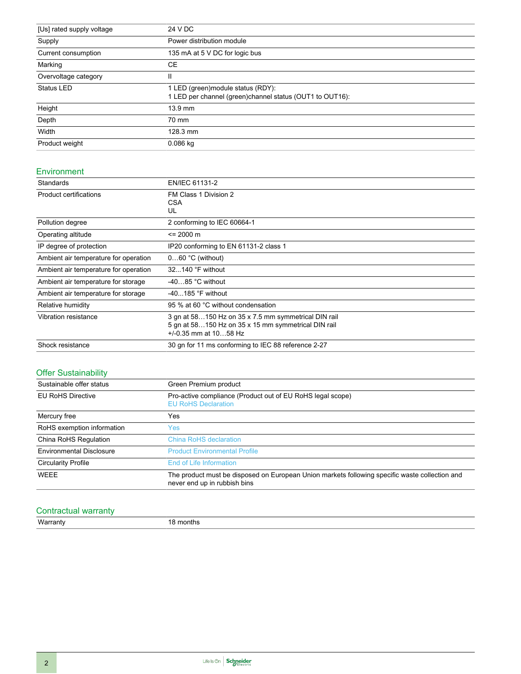| [Us] rated supply voltage | 24 V DC                                                                                         |  |
|---------------------------|-------------------------------------------------------------------------------------------------|--|
| Supply                    | Power distribution module                                                                       |  |
| Current consumption       | 135 mA at 5 V DC for logic bus                                                                  |  |
| Marking                   | CE.                                                                                             |  |
| Overvoltage category      | Ш                                                                                               |  |
| <b>Status LED</b>         | 1 LED (green) module status (RDY):<br>1 LED per channel (green) channel status (OUT1 to OUT16): |  |
| Height                    | 13.9 mm                                                                                         |  |
| Depth                     | 70 mm                                                                                           |  |
| Width                     | 128.3 mm                                                                                        |  |
| Product weight            | 0.086 kg                                                                                        |  |

#### Environment

| Standards                             | EN/IEC 61131-2                                                                                                                         |  |  |
|---------------------------------------|----------------------------------------------------------------------------------------------------------------------------------------|--|--|
| <b>Product certifications</b>         | FM Class 1 Division 2<br><b>CSA</b><br>UL                                                                                              |  |  |
| Pollution degree                      | 2 conforming to IEC 60664-1                                                                                                            |  |  |
| Operating altitude                    | $= 2000 \text{ m}$                                                                                                                     |  |  |
| IP degree of protection               | IP20 conforming to EN 61131-2 class 1                                                                                                  |  |  |
| Ambient air temperature for operation | $060$ °C (without)                                                                                                                     |  |  |
| Ambient air temperature for operation | $32140$ °F without                                                                                                                     |  |  |
| Ambient air temperature for storage   | $-4085$ °C without                                                                                                                     |  |  |
| Ambient air temperature for storage   | $-40185$ °F without                                                                                                                    |  |  |
| Relative humidity                     | 95 % at 60 °C without condensation                                                                                                     |  |  |
| Vibration resistance                  | 3 gn at 58150 Hz on 35 x 7.5 mm symmetrical DIN rail<br>5 gn at 58150 Hz on 35 x 15 mm symmetrical DIN rail<br>$+/-0.35$ mm at 1058 Hz |  |  |
| Shock resistance                      | 30 gn for 11 ms conforming to IEC 88 reference 2-27                                                                                    |  |  |

### Offer Sustainability

| Sustainable offer status        | Green Premium product                                                                                                          |  |  |
|---------------------------------|--------------------------------------------------------------------------------------------------------------------------------|--|--|
| <b>EU RoHS Directive</b>        | Pro-active compliance (Product out of EU RoHS legal scope)<br><b>EU RoHS Declaration</b>                                       |  |  |
| Mercury free                    | Yes                                                                                                                            |  |  |
| RoHS exemption information      | Yes:                                                                                                                           |  |  |
| China RoHS Regulation           | <b>China RoHS declaration</b>                                                                                                  |  |  |
| <b>Environmental Disclosure</b> | <b>Product Environmental Profile</b>                                                                                           |  |  |
| <b>Circularity Profile</b>      | End of Life Information                                                                                                        |  |  |
| <b>WEEE</b>                     | The product must be disposed on European Union markets following specific waste collection and<br>never end up in rubbish bins |  |  |

### Contractual warranty

Warranty 18 months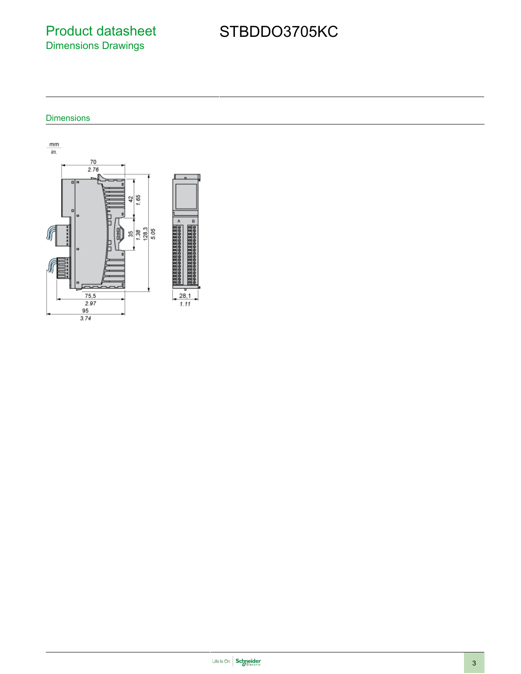Product datasheet Dimensions Drawings

# STBDDO3705KC

Dimensions



3